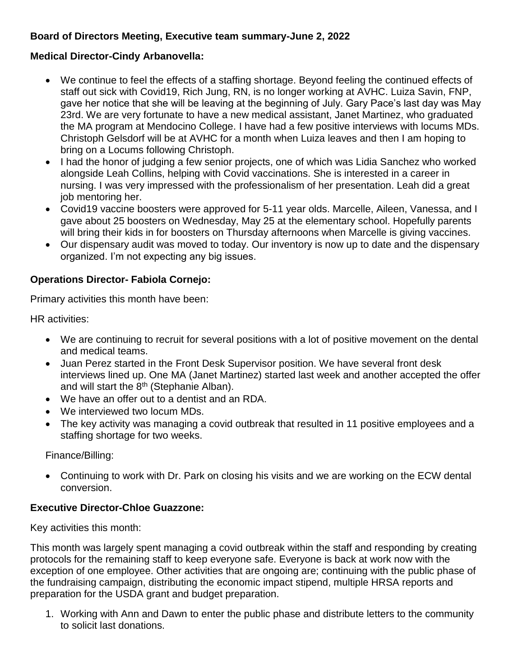# **Board of Directors Meeting, Executive team summary-June 2, 2022**

#### **Medical Director-Cindy Arbanovella:**

- We continue to feel the effects of a staffing shortage. Beyond feeling the continued effects of staff out sick with Covid19, Rich Jung, RN, is no longer working at AVHC. Luiza Savin, FNP, gave her notice that she will be leaving at the beginning of July. Gary Pace's last day was May 23rd. We are very fortunate to have a new medical assistant, Janet Martinez, who graduated the MA program at Mendocino College. I have had a few positive interviews with locums MDs. Christoph Gelsdorf will be at AVHC for a month when Luiza leaves and then I am hoping to bring on a Locums following Christoph.
- I had the honor of judging a few senior projects, one of which was Lidia Sanchez who worked alongside Leah Collins, helping with Covid vaccinations. She is interested in a career in nursing. I was very impressed with the professionalism of her presentation. Leah did a great job mentoring her.
- Covid19 vaccine boosters were approved for 5-11 year olds. Marcelle, Aileen, Vanessa, and I gave about 25 boosters on Wednesday, May 25 at the elementary school. Hopefully parents will bring their kids in for boosters on Thursday afternoons when Marcelle is giving vaccines.
- Our dispensary audit was moved to today. Our inventory is now up to date and the dispensary organized. I'm not expecting any big issues.

## **Operations Director- Fabiola Cornejo:**

Primary activities this month have been:

HR activities:

- We are continuing to recruit for several positions with a lot of positive movement on the dental and medical teams.
- Juan Perez started in the Front Desk Supervisor position. We have several front desk interviews lined up. One MA (Janet Martinez) started last week and another accepted the offer and will start the 8<sup>th</sup> (Stephanie Alban).
- We have an offer out to a dentist and an RDA.
- We interviewed two locum MDs.
- The key activity was managing a covid outbreak that resulted in 11 positive employees and a staffing shortage for two weeks.

Finance/Billing:

 Continuing to work with Dr. Park on closing his visits and we are working on the ECW dental conversion.

## **Executive Director-Chloe Guazzone:**

Key activities this month:

This month was largely spent managing a covid outbreak within the staff and responding by creating protocols for the remaining staff to keep everyone safe. Everyone is back at work now with the exception of one employee. Other activities that are ongoing are; continuing with the public phase of the fundraising campaign, distributing the economic impact stipend, multiple HRSA reports and preparation for the USDA grant and budget preparation.

1. Working with Ann and Dawn to enter the public phase and distribute letters to the community to solicit last donations.